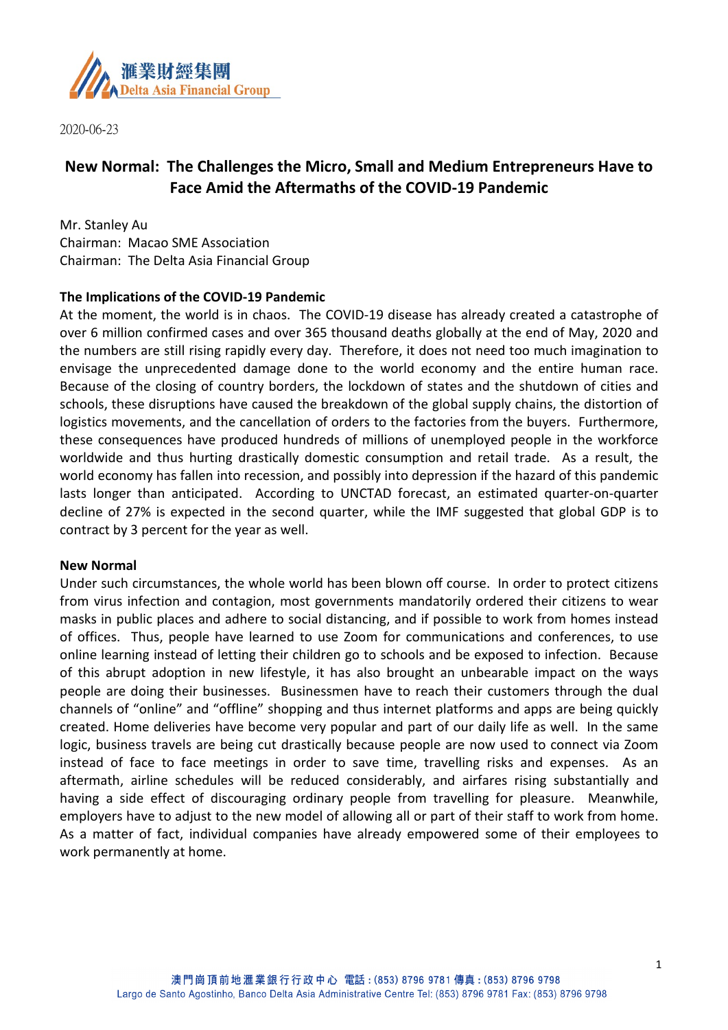

2020-06-23

# **New Normal: The Challenges the Micro, Small and Medium Entrepreneurs Have to Face Amid the Aftermaths of the COVID-19 Pandemic**

Mr. Stanley Au Chairman: Macao SME Association Chairman: The Delta Asia Financial Group

### **The Implications of the COVID-19 Pandemic**

At the moment, the world is in chaos. The COVID-19 disease has already created a catastrophe of over 6 million confirmed cases and over 365 thousand deaths globally at the end of May, 2020 and the numbers are still rising rapidly every day. Therefore, it does not need too much imagination to envisage the unprecedented damage done to the world economy and the entire human race. Because of the closing of country borders, the lockdown of states and the shutdown of cities and schools, these disruptions have caused the breakdown of the global supply chains, the distortion of logistics movements, and the cancellation of orders to the factories from the buyers. Furthermore, these consequences have produced hundreds of millions of unemployed people in the workforce worldwide and thus hurting drastically domestic consumption and retail trade. As a result, the world economy has fallen into recession, and possibly into depression if the hazard of this pandemic lasts longer than anticipated. According to UNCTAD forecast, an estimated quarter-on-quarter decline of 27% is expected in the second quarter, while the IMF suggested that global GDP is to contract by 3 percent for the year as well.

### **New Normal**

Under such circumstances, the whole world has been blown off course. In order to protect citizens from virus infection and contagion, most governments mandatorily ordered their citizens to wear masks in public places and adhere to social distancing, and if possible to work from homes instead of offices. Thus, people have learned to use Zoom for communications and conferences, to use online learning instead of letting their children go to schools and be exposed to infection. Because of this abrupt adoption in new lifestyle, it has also brought an unbearable impact on the ways people are doing their businesses. Businessmen have to reach their customers through the dual channels of "online" and "offline" shopping and thus internet platforms and apps are being quickly created. Home deliveries have become very popular and part of our daily life as well. In the same logic, business travels are being cut drastically because people are now used to connect via Zoom instead of face to face meetings in order to save time, travelling risks and expenses. As an aftermath, airline schedules will be reduced considerably, and airfares rising substantially and having a side effect of discouraging ordinary people from travelling for pleasure. Meanwhile, employers have to adjust to the new model of allowing all or part of their staff to work from home. As a matter of fact, individual companies have already empowered some of their employees to work permanently at home.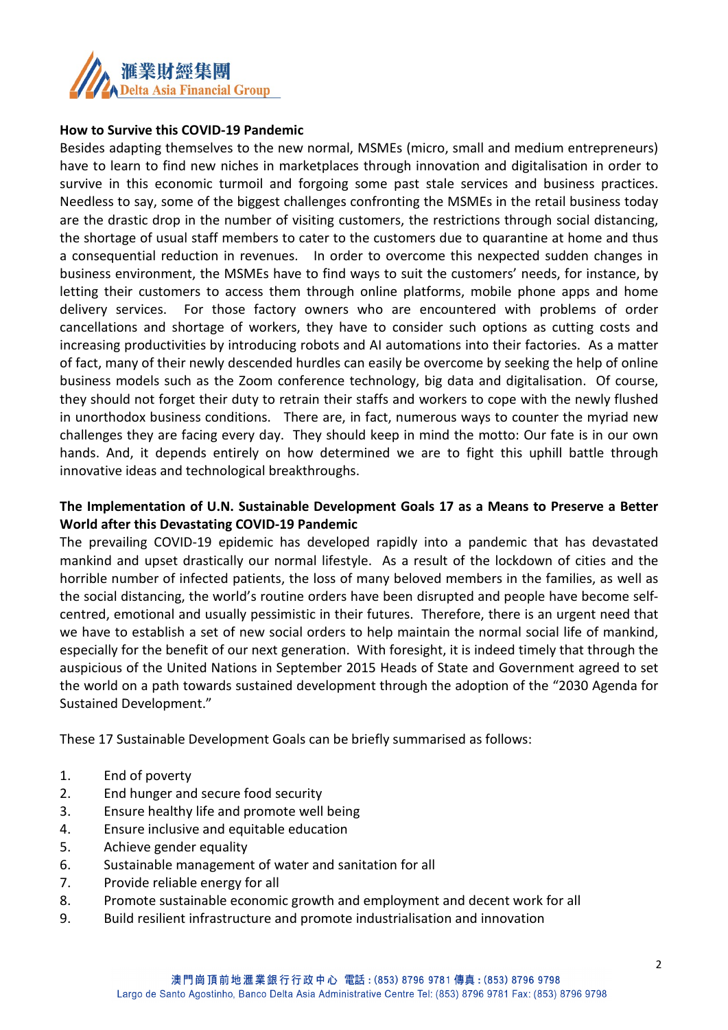

#### **How to Survive this COVID-19 Pandemic**

Besides adapting themselves to the new normal, MSMEs (micro, small and medium entrepreneurs) have to learn to find new niches in marketplaces through innovation and digitalisation in order to survive in this economic turmoil and forgoing some past stale services and business practices. Needless to say, some of the biggest challenges confronting the MSMEs in the retail business today are the drastic drop in the number of visiting customers, the restrictions through social distancing, the shortage of usual staff members to cater to the customers due to quarantine at home and thus a consequential reduction in revenues. In order to overcome this nexpected sudden changes in business environment, the MSMEs have to find ways to suit the customers' needs, for instance, by letting their customers to access them through online platforms, mobile phone apps and home delivery services. For those factory owners who are encountered with problems of order cancellations and shortage of workers, they have to consider such options as cutting costs and increasing productivities by introducing robots and AI automations into their factories. As a matter of fact, many of their newly descended hurdles can easily be overcome by seeking the help of online business models such as the Zoom conference technology, big data and digitalisation. Of course, they should not forget their duty to retrain their staffs and workers to cope with the newly flushed in unorthodox business conditions. There are, in fact, numerous ways to counter the myriad new challenges they are facing every day. They should keep in mind the motto: Our fate is in our own hands. And, it depends entirely on how determined we are to fight this uphill battle through innovative ideas and technological breakthroughs.

## **The Implementation of U.N. Sustainable Development Goals 17 as a Means to Preserve a Better World after this Devastating COVID-19 Pandemic**

The prevailing COVID-19 epidemic has developed rapidly into a pandemic that has devastated mankind and upset drastically our normal lifestyle. As a result of the lockdown of cities and the horrible number of infected patients, the loss of many beloved members in the families, as well as the social distancing, the world's routine orders have been disrupted and people have become selfcentred, emotional and usually pessimistic in their futures. Therefore, there is an urgent need that we have to establish a set of new social orders to help maintain the normal social life of mankind, especially for the benefit of our next generation. With foresight, it is indeed timely that through the auspicious of the United Nations in September 2015 Heads of State and Government agreed to set the world on a path towards sustained development through the adoption of the "2030 Agenda for Sustained Development."

These 17 Sustainable Development Goals can be briefly summarised as follows:

- 1. End of poverty
- 2. End hunger and secure food security
- 3. Ensure healthy life and promote well being
- 4. Ensure inclusive and equitable education
- 5. Achieve gender equality
- 6. Sustainable management of water and sanitation for all
- 7. Provide reliable energy for all
- 8. Promote sustainable economic growth and employment and decent work for all
- 9. Build resilient infrastructure and promote industrialisation and innovation